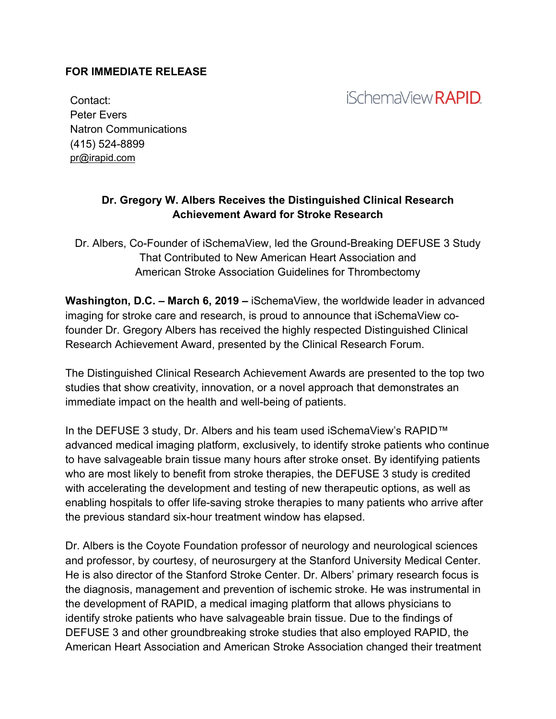#### **FOR IMMEDIATE RELEASE**

# *iSchemaView RAPID*

Contact: Peter Evers Natron Communications (415) 524-8899 pr@irapid.com

#### **Dr. Gregory W. Albers Receives the Distinguished Clinical Research Achievement Award for Stroke Research**

Dr. Albers, Co-Founder of iSchemaView, led the Ground-Breaking DEFUSE 3 Study That Contributed to New American Heart Association and American Stroke Association Guidelines for Thrombectomy

**Washington, D.C. – March 6, 2019 –** iSchemaView, the worldwide leader in advanced imaging for stroke care and research, is proud to announce that iSchemaView cofounder Dr. Gregory Albers has received the highly respected Distinguished Clinical Research Achievement Award, presented by the Clinical Research Forum.

The Distinguished Clinical Research Achievement Awards are presented to the top two studies that show creativity, innovation, or a novel approach that demonstrates an immediate impact on the health and well-being of patients.

In the DEFUSE 3 study, Dr. Albers and his team used iSchemaView's RAPID™ advanced medical imaging platform, exclusively, to identify stroke patients who continue to have salvageable brain tissue many hours after stroke onset. By identifying patients who are most likely to benefit from stroke therapies, the DEFUSE 3 study is credited with accelerating the development and testing of new therapeutic options, as well as enabling hospitals to offer life-saving stroke therapies to many patients who arrive after the previous standard six-hour treatment window has elapsed.

Dr. Albers is the Coyote Foundation professor of neurology and neurological sciences and professor, by courtesy, of neurosurgery at the Stanford University Medical Center. He is also director of the Stanford Stroke Center. Dr. Albers' primary research focus is the diagnosis, management and prevention of ischemic stroke. He was instrumental in the development of RAPID, a medical imaging platform that allows physicians to identify stroke patients who have salvageable brain tissue. Due to the findings of DEFUSE 3 and other groundbreaking stroke studies that also employed RAPID, the American Heart Association and American Stroke Association changed their treatment